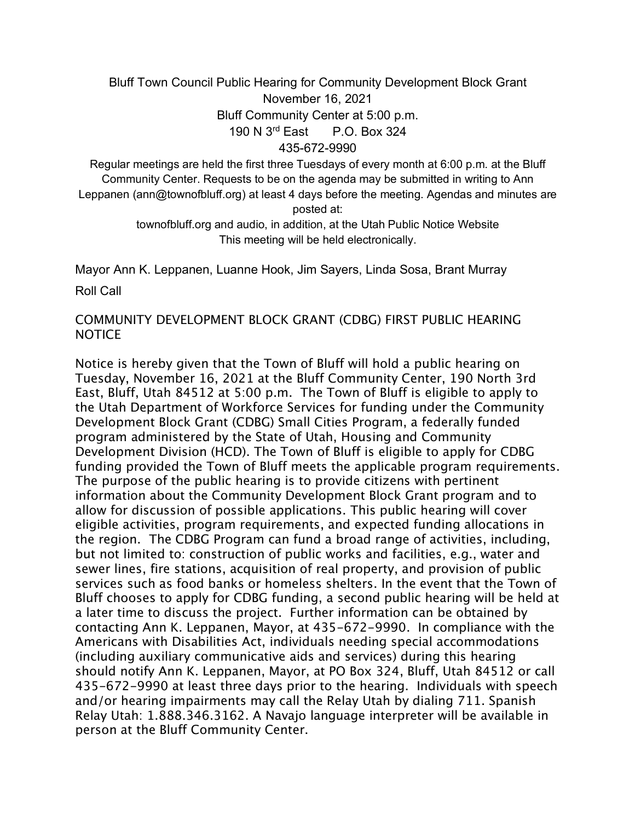## Bluff Town Council Public Hearing for Community Development Block Grant November 16, 2021 Bluff Community Center at 5:00 p.m. 190 N 3rd East P.O. Box 324 435-672-9990

Regular meetings are held the first three Tuesdays of every month at 6:00 p.m. at the Bluff Community Center. Requests to be on the agenda may be submitted in writing to Ann Leppanen (ann@townofbluff.org) at least 4 days before the meeting. Agendas and minutes are posted at:

> townofbluff.org and audio, in addition, at the Utah Public Notice Website This meeting will be held electronically.

Mayor Ann K. Leppanen, Luanne Hook, Jim Sayers, Linda Sosa, Brant Murray

Roll Call

## COMMUNITY DEVELOPMENT BLOCK GRANT (CDBG) FIRST PUBLIC HEARING NOTICE

Notice is hereby given that the Town of Bluff will hold a public hearing on Tuesday, November 16, 2021 at the Bluff Community Center, 190 North 3rd East, Bluff, Utah 84512 at 5:00 p.m. The Town of Bluff is eligible to apply to the Utah Department of Workforce Services for funding under the Community Development Block Grant (CDBG) Small Cities Program, a federally funded program administered by the State of Utah, Housing and Community Development Division (HCD). The Town of Bluff is eligible to apply for CDBG funding provided the Town of Bluff meets the applicable program requirements. The purpose of the public hearing is to provide citizens with pertinent information about the Community Development Block Grant program and to allow for discussion of possible applications. This public hearing will cover eligible activities, program requirements, and expected funding allocations in the region. The CDBG Program can fund a broad range of activities, including, but not limited to: construction of public works and facilities, e.g., water and sewer lines, fire stations, acquisition of real property, and provision of public services such as food banks or homeless shelters. In the event that the Town of Bluff chooses to apply for CDBG funding, a second public hearing will be held at a later time to discuss the project. Further information can be obtained by contacting Ann K. Leppanen, Mayor, at 435-672-9990. In compliance with the Americans with Disabilities Act, individuals needing special accommodations (including auxiliary communicative aids and services) during this hearing should notify Ann K. Leppanen, Mayor, at PO Box 324, Bluff, Utah 84512 or call 435-672-9990 at least three days prior to the hearing. Individuals with speech and/or hearing impairments may call the Relay Utah by dialing 711. Spanish Relay Utah: 1.888.346.3162. A Navajo language interpreter will be available in person at the Bluff Community Center.